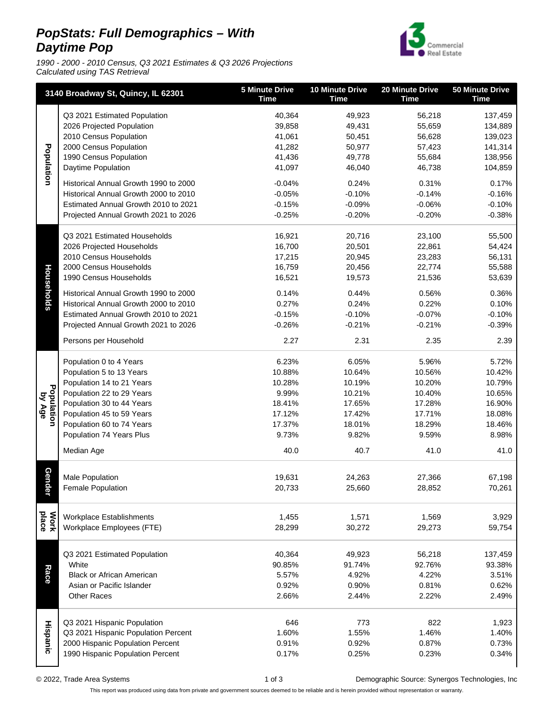## **PopStats: Full Demographics – With Daytime Pop**

1990 - 2000 - 2010 Census, Q3 2021 Estimates & Q3 2026 Projections Calculated using TAS Retrieval



| 3140 Broadway St, Quincy, IL 62301 |                                       | <b>5 Minute Drive</b><br><b>Time</b> | <b>10 Minute Drive</b><br><b>Time</b> | 20 Minute Drive<br><b>Time</b> | <b>50 Minute Drive</b><br><b>Time</b> |
|------------------------------------|---------------------------------------|--------------------------------------|---------------------------------------|--------------------------------|---------------------------------------|
|                                    | Q3 2021 Estimated Population          | 40,364                               | 49,923                                | 56,218                         | 137,459                               |
|                                    | 2026 Projected Population             | 39,858                               | 49,431                                | 55,659                         | 134,889                               |
|                                    | 2010 Census Population                | 41,061                               | 50,451                                | 56,628                         | 139,023                               |
| Population                         | 2000 Census Population                | 41,282                               | 50,977                                | 57,423                         | 141,314                               |
|                                    | 1990 Census Population                | 41,436                               | 49,778                                | 55,684                         | 138,956                               |
|                                    | Daytime Population                    | 41,097                               | 46,040                                | 46,738                         | 104,859                               |
|                                    | Historical Annual Growth 1990 to 2000 | $-0.04%$                             | 0.24%                                 | 0.31%                          | 0.17%                                 |
|                                    | Historical Annual Growth 2000 to 2010 | $-0.05%$                             | $-0.10%$                              | $-0.14%$                       | $-0.16%$                              |
|                                    | Estimated Annual Growth 2010 to 2021  | $-0.15%$                             | $-0.09%$                              | $-0.06%$                       | $-0.10%$                              |
|                                    | Projected Annual Growth 2021 to 2026  | $-0.25%$                             | $-0.20%$                              | $-0.20%$                       | $-0.38%$                              |
|                                    |                                       |                                      |                                       |                                |                                       |
|                                    | Q3 2021 Estimated Households          | 16,921                               | 20,716                                | 23,100                         | 55,500                                |
|                                    | 2026 Projected Households             | 16,700                               | 20,501                                | 22,861                         | 54,424                                |
|                                    | 2010 Census Households                | 17,215                               | 20,945                                | 23,283                         | 56,131                                |
|                                    | 2000 Census Households                | 16,759                               | 20,456                                | 22,774                         | 55,588                                |
| Households                         | 1990 Census Households                | 16,521                               | 19,573                                | 21,536                         | 53,639                                |
|                                    | Historical Annual Growth 1990 to 2000 | 0.14%                                | 0.44%                                 | 0.56%                          | 0.36%                                 |
|                                    | Historical Annual Growth 2000 to 2010 | 0.27%                                | 0.24%                                 | 0.22%                          | 0.10%                                 |
|                                    | Estimated Annual Growth 2010 to 2021  | $-0.15%$                             | $-0.10%$                              | $-0.07%$                       | $-0.10%$                              |
|                                    | Projected Annual Growth 2021 to 2026  | $-0.26%$                             | $-0.21%$                              | $-0.21%$                       | $-0.39%$                              |
|                                    | Persons per Household                 | 2.27                                 | 2.31                                  | 2.35                           | 2.39                                  |
|                                    | Population 0 to 4 Years               | 6.23%                                | 6.05%                                 | 5.96%                          | 5.72%                                 |
|                                    | Population 5 to 13 Years              | 10.88%                               | 10.64%                                | 10.56%                         | 10.42%                                |
|                                    | Population 14 to 21 Years             | 10.28%                               | 10.19%                                | 10.20%                         | 10.79%                                |
|                                    | Population 22 to 29 Years             | 9.99%                                | 10.21%                                | 10.40%                         | 10.65%                                |
| Population<br>by Age               | Population 30 to 44 Years             | 18.41%                               | 17.65%                                | 17.28%                         | 16.90%                                |
|                                    | Population 45 to 59 Years             | 17.12%                               | 17.42%                                | 17.71%                         | 18.08%                                |
|                                    | Population 60 to 74 Years             | 17.37%                               | 18.01%                                | 18.29%                         | 18.46%                                |
|                                    | Population 74 Years Plus              | 9.73%                                | 9.82%                                 | 9.59%                          | 8.98%                                 |
|                                    | Median Age                            | 40.0                                 | 40.7                                  | 41.0                           | 41.0                                  |
|                                    |                                       |                                      |                                       |                                |                                       |
| Gende                              | Male Population                       | 19,631                               | 24,263                                | 27,366                         | 67,198                                |
| т,                                 | Female Population                     | 20,733                               | 25,660                                | 28,852                         | 70,261                                |
|                                    | Workplace Establishments              | 1,455                                | 1,571                                 | 1,569                          | 3,929                                 |
| Work<br>place                      | Workplace Employees (FTE)             | 28,299                               | 30,272                                | 29,273                         | 59,754                                |
| Race                               | Q3 2021 Estimated Population          | 40,364                               | 49,923                                | 56,218                         | 137,459                               |
|                                    | White                                 | 90.85%                               | 91.74%                                | 92.76%                         | 93.38%                                |
|                                    | <b>Black or African American</b>      | 5.57%                                | 4.92%                                 | 4.22%                          | 3.51%                                 |
|                                    | Asian or Pacific Islander             | 0.92%                                | 0.90%                                 | 0.81%                          | 0.62%                                 |
|                                    | <b>Other Races</b>                    | 2.66%                                | 2.44%                                 | 2.22%                          | 2.49%                                 |
|                                    | Q3 2021 Hispanic Population           | 646                                  | 773                                   | 822                            | 1,923                                 |
|                                    | Q3 2021 Hispanic Population Percent   | 1.60%                                | 1.55%                                 | 1.46%                          | 1.40%                                 |
| <b>Hispanic</b>                    | 2000 Hispanic Population Percent      | 0.91%                                | 0.92%                                 | 0.87%                          | 0.73%                                 |
|                                    | 1990 Hispanic Population Percent      | 0.17%                                | 0.25%                                 | 0.23%                          | 0.34%                                 |
|                                    |                                       |                                      |                                       |                                |                                       |

© 2022, Trade Area Systems 1 of 3 Demographic Source: Synergos Technologies, Inc

This report was produced using data from private and government sources deemed to be reliable and is herein provided without representation or warranty.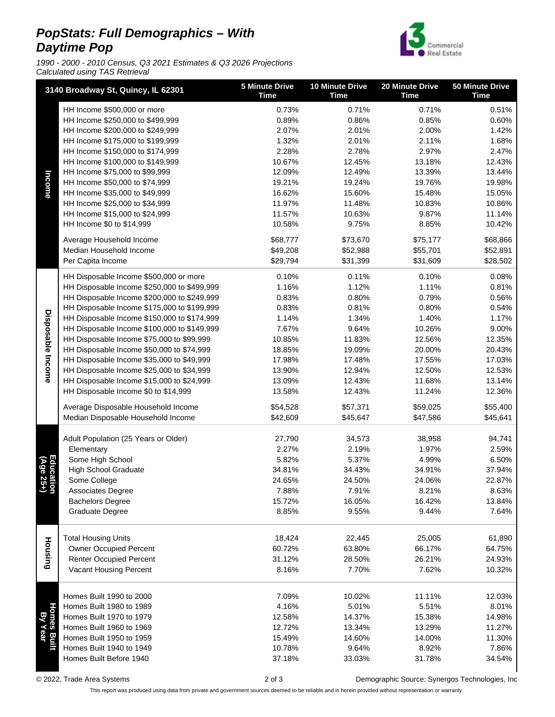## **PopStats: Full Demographics – With Daytime Pop**

1990 - 2000 - 2010 Census, Q3 2021 Estimates & Q3 2026 Projections Calculated using TAS Retrieval



|                        | 3140 Broadway St, Quincy, IL 62301                                                       | <b>5 Minute Drive</b><br><b>Time</b> | <b>10 Minute Drive</b><br><b>Time</b> | 20 Minute Drive<br><b>Time</b> | <b>50 Minute Drive</b><br><b>Time</b> |
|------------------------|------------------------------------------------------------------------------------------|--------------------------------------|---------------------------------------|--------------------------------|---------------------------------------|
| Income                 | HH Income \$500,000 or more                                                              | 0.73%                                | 0.71%                                 | 0.71%                          | 0.51%                                 |
|                        | HH Income \$250,000 to \$499,999                                                         | 0.89%                                | 0.86%                                 | 0.85%                          | 0.60%                                 |
|                        | HH Income \$200,000 to \$249,999                                                         | 2.07%                                | 2.01%                                 | 2.00%                          | 1.42%                                 |
|                        | HH Income \$175,000 to \$199,999                                                         | 1.32%                                | 2.01%                                 | 2.11%                          | 1.68%                                 |
|                        | HH Income \$150,000 to \$174,999                                                         | 2.28%                                | 2.78%                                 | 2.97%                          | 2.47%                                 |
|                        | HH Income \$100,000 to \$149,999                                                         | 10.67%                               | 12.45%                                | 13.18%                         | 12.43%                                |
|                        | HH Income \$75,000 to \$99,999                                                           | 12.09%                               | 12.49%                                | 13.39%                         | 13.44%                                |
|                        | HH Income \$50,000 to \$74,999                                                           | 19.21%                               | 19.24%                                | 19.76%                         | 19.98%                                |
|                        | HH Income \$35,000 to \$49,999                                                           | 16.62%                               | 15.60%                                | 15.48%                         | 15.05%                                |
|                        | HH Income \$25,000 to \$34,999                                                           | 11.97%                               | 11.48%                                | 10.83%                         | 10.86%                                |
|                        | HH Income \$15,000 to \$24,999                                                           | 11.57%                               | 10.63%                                | 9.87%                          | 11.14%                                |
|                        | HH Income \$0 to \$14,999                                                                | 10.58%                               | 9.75%                                 | 8.85%                          | 10.42%                                |
|                        | Average Household Income                                                                 | \$68,777                             | \$73,670                              | \$75,177                       | \$68,866                              |
|                        | Median Household Income                                                                  | \$49,208                             | \$52,988                              | \$55,701                       | \$52,891                              |
|                        | Per Capita Income                                                                        | \$29,794                             | \$31,399                              | \$31,609                       | \$28,502                              |
|                        | HH Disposable Income \$500,000 or more                                                   | 0.10%                                | 0.11%                                 | 0.10%                          | 0.08%                                 |
|                        | HH Disposable Income \$250,000 to \$499,999                                              | 1.16%                                | 1.12%                                 | 1.11%                          | 0.81%                                 |
|                        | HH Disposable Income \$200,000 to \$249,999                                              | 0.83%                                | 0.80%                                 | 0.79%                          | 0.56%                                 |
|                        | HH Disposable Income \$175,000 to \$199,999                                              | 0.83%                                | 0.81%                                 | 0.80%                          | 0.54%                                 |
|                        | HH Disposable Income \$150,000 to \$174,999                                              | 1.14%                                | 1.34%                                 | 1.40%                          | 1.17%                                 |
|                        | HH Disposable Income \$100,000 to \$149,999<br>HH Disposable Income \$75,000 to \$99,999 | 7.67%                                | 9.64%                                 | 10.26%                         | 9.00%                                 |
| Disposable Income      | HH Disposable Income \$50,000 to \$74,999                                                | 10.85%<br>18.85%                     | 11.83%<br>19.09%                      | 12.56%<br>20.00%               | 12.35%<br>20.43%                      |
|                        | HH Disposable Income \$35,000 to \$49,999                                                | 17.98%                               | 17.48%                                | 17.55%                         | 17.03%                                |
|                        | HH Disposable Income \$25,000 to \$34,999                                                | 13.90%                               | 12.94%                                | 12.50%                         | 12.53%                                |
|                        | HH Disposable Income \$15,000 to \$24,999                                                | 13.09%                               | 12.43%                                | 11.68%                         | 13.14%                                |
|                        | HH Disposable Income \$0 to \$14,999                                                     | 13.58%                               | 12.43%                                | 11.24%                         | 12.36%                                |
|                        |                                                                                          |                                      |                                       |                                |                                       |
|                        | Average Disposable Household Income                                                      | \$54,528                             | \$57,371                              | \$59,025                       | \$55,400                              |
|                        | Median Disposable Household Income                                                       | \$42,609                             | \$45,647                              | \$47,586                       | \$45,641                              |
|                        | Adult Population (25 Years or Older)                                                     | 27,790                               | 34,573                                | 38,958                         | 94,741                                |
|                        | Elementary                                                                               | 2.27%                                | 2.19%                                 | 1.97%                          | 2.59%                                 |
| (Age                   | Some High School                                                                         | 5.82%                                | 5.37%                                 | 4.99%                          | 6.50%                                 |
| Educatio               | <b>High School Graduate</b>                                                              | 34.81%                               | 34.43%                                | 34.91%                         | 37.94%                                |
| $\overline{35}$        | Some College                                                                             | 24.65%                               | 24.50%                                | 24.06%                         | 22.87%                                |
| とう                     | Associates Degree                                                                        | 7.88%                                | 7.91%                                 | 8.21%                          | 8.63%                                 |
|                        | <b>Bachelors Degree</b>                                                                  | 15.72%                               | 16.05%                                | 16.42%                         | 13.84%                                |
|                        | Graduate Degree                                                                          | 8.85%                                | 9.55%                                 | 9.44%                          | 7.64%                                 |
|                        | <b>Total Housing Units</b>                                                               | 18,424                               | 22,445                                |                                | 61,890                                |
| Housing                | <b>Owner Occupied Percent</b>                                                            | 60.72%                               | 63.80%                                | 25,005<br>66.17%               | 64.75%                                |
|                        | <b>Renter Occupied Percent</b>                                                           | 31.12%                               | 28.50%                                | 26.21%                         | 24.93%                                |
|                        | Vacant Housing Percent                                                                   | 8.16%                                | 7.70%                                 | 7.62%                          | 10.32%                                |
|                        |                                                                                          |                                      |                                       |                                |                                       |
|                        | Homes Built 1990 to 2000                                                                 | 7.09%                                | 10.02%                                | 11.11%                         | 12.03%                                |
|                        | Homes Built 1980 to 1989                                                                 | 4.16%                                | 5.01%                                 | 5.51%                          | 8.01%                                 |
|                        | Homes Built 1970 to 1979                                                                 | 12.58%                               | 14.37%                                | 15.38%                         | 14.98%                                |
|                        | Homes Built 1960 to 1969                                                                 | 12.72%                               | 13.34%                                | 13.29%                         | 11.27%                                |
| Homes Built<br>By Year | Homes Built 1950 to 1959                                                                 | 15.49%                               | 14.60%                                | 14.00%                         | 11.30%                                |
|                        | Homes Built 1940 to 1949                                                                 | 10.78%                               | 9.64%                                 | 8.92%                          | 7.86%                                 |
|                        | Homes Built Before 1940                                                                  | 37.18%                               | 33.03%                                | 31.78%                         | 34.54%                                |
|                        |                                                                                          |                                      |                                       |                                |                                       |

© 2022, Trade Area Systems 2 of 3 Demographic Source: Synergos Technologies, Inc

This report was produced using data from private and government sources deemed to be reliable and is herein provided without representation or warranty.